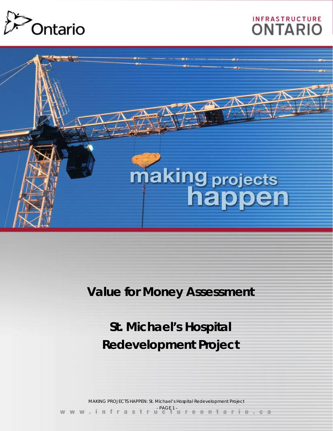





# **Value for Money Assessment**

# **St. Michael's Hospital Redevelopment Project**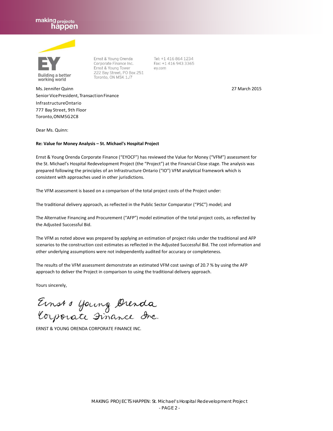#### making projects happen



Ernst & Young Orenda Corporate Finance Inc. Ernst & Young Tower 222 Bay Street, PO Box 251 Toronto, ON M5K 1J7

Tel: +1 416 864 1234 Fax: +1 416 943 3365 ev.com

Ms.Jennifer Quinn 27 March 2015 Senior Vice President, Transaction Finance InfrastructureOntario 777 Bay Street, 9th Floor Toronto,ONM5G2C8

Dear Ms. Quinn:

#### **Re: Value for Money Analysis – St. Michael's Hospital Project**

Ernst & Young Orenda Corporate Finance ("EYOCF") has reviewed the Value for Money ("VFM") assessment for the St. Michael's Hospital Redevelopment Project (the "Project") at the Financial Close stage. The analysis was prepared following the principles of an Infrastructure Ontario ("IO") VFM analytical framework which is consistent with approaches used in other jurisdictions.

The VFM assessment is based on a comparison of the total project costs of the Project under:

The traditional delivery approach, as reflected in the Public Sector Comparator ("PSC") model; and

The Alternative Financing and Procurement ("AFP") model estimation of the total project costs, as reflected by the Adjusted Successful Bid.

The VFM as noted above was prepared by applying an estimation of project risks under the traditional and AFP scenarios to the construction cost estimates as reflected in the Adjusted Successful Bid. The cost information and other underlying assumptions were not independently audited for accuracy or completeness.

The results of the VFM assessment demonstrate an estimated VFM cost savings of 20.7 % by using the AFP approach to deliver the Project in comparison to using the traditional delivery approach.

Yours sincerely,

Einst o Young Dierda<br>lorporate Finance Irc.

ERNST & YOUNG ORENDA CORPORATE FINANCE INC.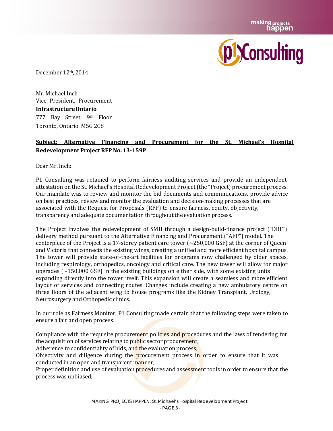

December 12th, 2014

Mr. Michael Inch Vice President, Procurement **InfrastructureOntario** 777 Bay Street, 9th Floor Toronto, Ontario M5G 2C8

#### **Subject: Alternative Financing and Procurement for the St. Michael's Hospital Redevelopment Project RFPNo. 13-159P**

Dear Mr. Inch:

P1 Consulting was retained to perform fairness auditing services and provide an independent attestation on the St. Michael's Hospital Redevelopment Project (the "Project) procurement process. Our mandate was to review and monitor the bid documents and communications, provide advice on best practices, review and monitor the evaluation and decision-making processes that are associated with the Request for Proposals (RFP) to ensure fairness, equity, objectivity, transparency and adequate documentation throughout the evaluation process.

The Project involves the redevelopment of SMH through a design-build-finance project ("DBF") delivery method pursuant to the Alternative Financing and Procurement ("AFP") model. The centerpiece of the Project is a 17-storey patient care tower (~250,000 GSF) at the corner of Queen and Victoria that connects the existing wings, creating a unified and more efficient hospital campus. The tower will provide state-of-the-art facilities for programs now challenged by older spaces, including respirology, orthopedics, oncology and critical care. The new tower will allow for major upgrades  $\sim$  150,000 GSF) in the existing buildings on either side, with some existing units expanding directly into the tower itself. This expansion will create a seamless and more efficient layout of services and connecting routes. Changes include creating a new ambulatory centre on three floors of the adjacent wing to house programs like the Kidney Transplant, Urology, Neurosurgery and Orthopedic clinics.

In our role as Fairness Monitor, P1 Consulting made certain that the following steps were taken to ensure a fair and open process:

Compliance with the requisite procurement policies and procedures and the laws of tendering for the acquisition of services relating to public sector procurement;

Adherence to confidentiality of bids, and the evaluation process;

Objectivity and diligence during the **procurement** process in order to ensure that it was conducted in an open and transparent manner;

Proper definition and use of evaluation procedures and assessment tools in order to ensure that the process was unbiased;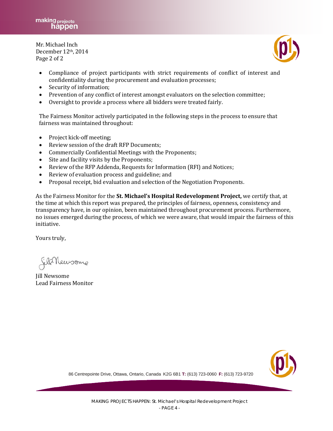Mr. Michael Inch December 12th, 2014 Page 2 of 2



- Compliance of project participants with strict requirements of conflict of interest and confidentiality during the procurement and evaluation processes;
- Security of information;
- Prevention of any conflict of interest amongst evaluators on the selection committee;
- Oversight to provide a process where all bidders were treated fairly.

The Fairness Monitor actively participated in the following steps in the process to ensure that fairness was maintained throughout:

- Project kick-off meeting;
- Review session of the draft RFP Documents;
- Commercially Confidential Meetings with the Proponents;
- Site and facility visits by the Proponents;<br>• Review of the RFP Addenda, Requests for
- Review of the RFP Addenda, Requests for Information (RFI) and Notices;
- Review of evaluation process and guideline; and
- Proposal receipt, bid evaluation and selection of the Negotiation Proponents.

As the Fairness Monitor for the **St. Michael's Hospital Redevelopment Project,** we certify that, at the time at which this report was prepared, the principles of fairness, openness, consistency and transparency have, in our opinion, been maintained throughout procurement process. Furthermore, no issues emerged during the process, of which we were aware, that would impair the fairness of this initiative.

Yours truly,

feld Newsome

Jill Newsome Lead Fairness Monitor

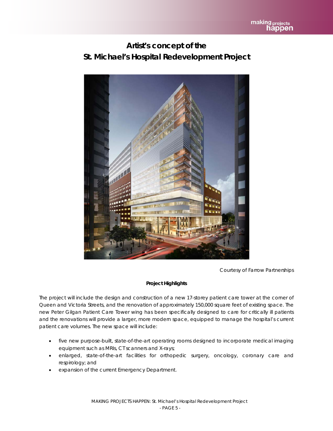## **Artist's concept of the St. Michael's Hospital Redevelopment Project**



*Courtesy of* Farrow Partnerships

#### **Project Highlights**

The project will include the design and construction of a new 17-storey patient care tower at the corner of Queen and Victoria Streets, and the renovation of approximately 150,000 square feet of existing space. The new Peter Gilgan Patient Care Tower wing has been specifically designed to care for critically ill patients and the renovations will provide a larger, more modern space, equipped to manage the hospital's current patient care volumes. The new space will include:

- five new purpose-built, state-of-the-art operating rooms designed to incorporate medical imaging equipment such as MRIs, CT scanners and X-rays;
- enlarged, state-of-the-art facilities for orthopedic surgery, oncology, coronary care and respirology; and
- expansion of the current Emergency Department.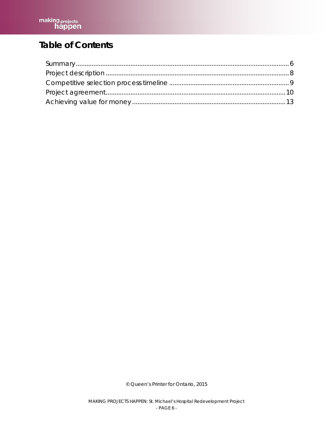# **Table of Contents**

© Queen's Printer for Ontario, 2015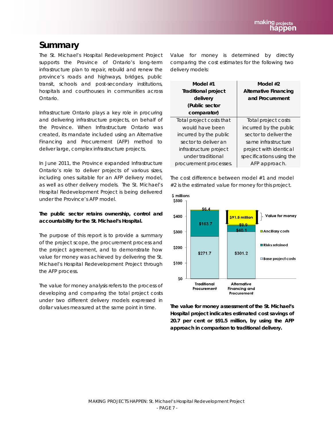### <span id="page-6-0"></span>**Summary**

The St. Michael's Hospital Redevelopment Project supports the Province of Ontario's long-term infrastructure plan to repair, rebuild and renew the province's roads and highways, bridges, public transit, schools and post-secondary institutions, hospitals and courthouses in communities across Ontario.

Infrastructure Ontario plays a key role in procuring and delivering infrastructure projects, on behalf of the Province. When Infrastructure Ontario was created, its mandate included using an Alternative Financing and Procurement (AFP) method to deliver large, complex infrastructure projects.

In June 2011, the Province expanded Infrastructure Ontario's role to deliver projects of various sizes, including ones suitable for an AFP delivery model, as well as other delivery models. The St. Michael's Hospital Redevelopment Project is being delivered under the Province's AFP model.

#### **The public sector retains ownership, control and accountability for the St. Michael's Hospital.**

The purpose of this report is to provide a summary of the project scope, the procurement process and the project agreement, and to demonstrate how value for money was achieved by delivering the St. Michael's Hospital Redevelopment Project through the AFP process.

The value for money analysis refers to the process of developing and comparing the total project costs under two different delivery models expressed in dollar values measured at the same point in time.

Value for money is determined by directly comparing the cost estimates for the following two delivery models:

| Model #1                   | Model #2                     |
|----------------------------|------------------------------|
| <b>Traditional project</b> | <b>Alternative Financing</b> |
| delivery                   | and Procurement              |
| (Public sector             |                              |
| comparator)                |                              |
| Total project costs that   | Total project costs          |
| would have been            | incurred by the public       |
| incurred by the public     | sector to deliver the        |
| sector to deliver an       | same infrastructure          |
| infrastructure project     | project with identical       |
| under traditional          | specifications using the     |
| procurement processes.     | AFP approach.                |

The cost difference between model #1 and model #2 is the estimated value for money for this project.



**The value for money assessment of the St. Michael's Hospital project indicates estimated cost savings of 20.7 per cent or \$91.5 million, by using the AFP approach in comparison to traditional delivery.**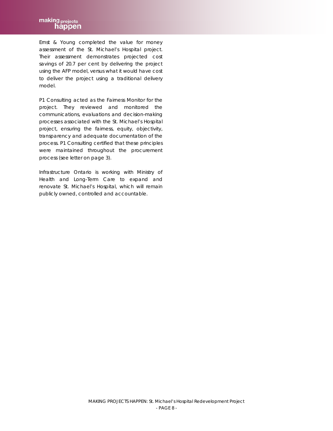#### making <sub>projects</sub> happen

Ernst & Young completed the value for money assessment of the St. Michael's Hospital project. Their assessment demonstrates projected cost savings of 20.7 per cent by delivering the project using the AFP model, versus what it would have cost to deliver the project using a traditional delivery model.

P1 Consulting acted as the Fairness Monitor for the project. They reviewed and monitored the communications, evaluations and decision-making processes associated with the St. Michael's Hospital project, ensuring the fairness, equity, objectivity, transparency and adequate documentation of the process. P1 Consulting certified that these principles were maintained throughout the procurement process (see letter on page 3).

Infrastructure Ontario is working with Ministry of Health and Long-Term Care to expand and renovate St. Michael's Hospital, which will remain publicly owned, controlled and accountable.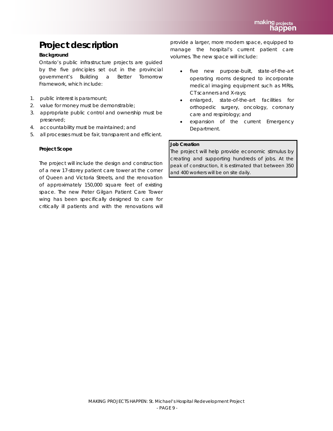# <span id="page-8-0"></span>**Project description**

#### *Background*

Ontario's public infrastructure projects are guided by the five principles set out in the provincial government's *Building a Better Tomorrow Framework,* which include:

- 1. public interest is paramount;
- 2. value for money must be demonstrable;
- 3. appropriate public control and ownership must be preserved;
- 4. accountability must be maintained; and
- 5. all processes must be fair, transparent and efficient.

#### **Project Scope**

The project will include the design and construction of a new 17-storey patient care tower at the corner of Queen and Victoria Streets, and the renovation of approximately 150,000 square feet of existing space. The new Peter Gilgan Patient Care Tower wing has been specifically designed to care for critically ill patients and with the renovations will

provide a larger, more modern space, equipped to manage the hospital's current patient care volumes. The new space will include:

- five new purpose-built, state-of-the-art operating rooms designed to incorporate medical imaging equipment such as MRIs, CT scanners and X-rays;
- enlarged, state-of-the-art facilities for orthopedic surgery, oncology, coronary care and respirology; and
- expansion of the current Emergency Department.

#### **Job Creation**

The project will help provide economic stimulus by creating and supporting hundreds of jobs. At the peak of construction, it is estimated that between 350 and 400 workers will be on site daily.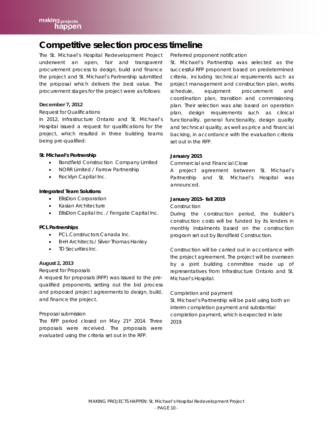#### making <sub>projects</sub> nappen

### <span id="page-9-0"></span>**Competitive selection process timeline**

The St. Michael's Hospital Redevelopment Project underwent an open, fair and transparent procurement process to design, build and finance the project and St. Michael's Partnership submitted the proposal which delivers the best value. The procurement stages for the project were as follows:

#### *December 7, 2012*

#### Request for Qualifications

In 2012, Infrastructure Ontario and St. Michael's Hospital issued a request for qualifications for the project, which resulted in three building teams being pre-qualified:

#### **St. Michael's Partnership**

- Bondfield Construction Company Limited
- NORR Limited / Farrow Partnership
- Rocklyn Capital Inc.

#### **Integrated Team Solutions**

- EllisDon Corporation
- Kasian Architecture
- EllisDon Capital Inc. / Fengate Capital Inc.

#### **PCL Partnerships**

- PCL Constructors Canada Inc.
- B+H Architects / Silver Thomas Hanley
- TD Securities Inc.

#### *August 2, 2013*

#### *Request for Proposals*

A request for proposals (RFP) was issued to the prequalified proponents, setting out the bid process and proposed project agreements to design, build, and finance the project.

#### *Proposal submission*

<span id="page-9-1"></span>The RFP period closed on May 21<sup>st</sup> 2014. Three proposals were received. The proposals were evaluated using the criteria set out in the RFP.

#### *Preferred proponent notification*

St. Michael's Partnership was selected as the successful RFP proponent based on predetermined criteria, including technical requirements such as project management and construction plan, works schedule, equipment procurement and coordination plan, transition and commissioning plan. Their selection was also based on operation plan, design requirements such as clinical functionality, general functionality, design quality and technical quality, as well as price and financial backing, in accordance with the evaluation criteria set out in the RFP.

#### *January 2015*

#### *Commercial and Financial Close*

A project agreement between St. Michael's Partnership and St. Michael's Hospital was announced.

#### *January 2015– fall 2019*

#### *Construction*

During the construction period, the builder's construction costs will be funded by its lenders in monthly instalments based on the construction program set out by Bondfield Construction.

Construction will be carried out in accordance with the project agreement. The project will be overseen by a joint building committee made up of representatives from Infrastructure Ontario and St. Michael's Hospital.

#### *Completion and payment*

St. Michael's Partnership will be paid using both an interim completion payment and substantial completion payment, which is expected in late 2019.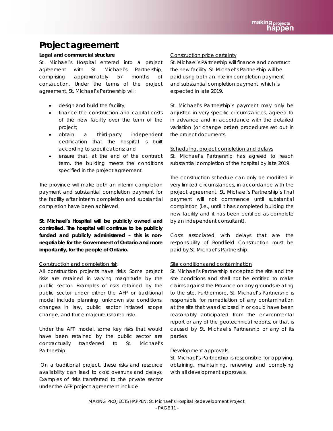## **Project agreement**

#### *Legal and commercial structure*

St. Michael's Hospital entered into a project agreement with St. Michael's Partnership, comprising approximately 57 months of construction. Under the terms of the project agreement, St. Michael's Partnership will:

- design and build the facility;
- finance the construction and capital costs of the new facility over the term of the project;
- obtain a third-party independent certification that the hospital is built according to specifications; and
- ensure that, at the end of the contract term, the building meets the conditions specified in the project agreement.

The province will make both an interim completion payment and substantial completion payment for the facility after interim completion and substantial completion have been achieved.

**St. Michael's Hospital will be publicly owned and controlled. The hospital will continue to be publicly funded and publicly administered – this is nonnegotiable for the Government of Ontario and more importantly, for the people of Ontario.**

#### *Construction and completion risk*

All construction projects have risks. Some project risks are retained in varying magnitude by the public sector. Examples of risks retained by the public sector under either the AFP or traditional model include planning, unknown site conditions, changes in law, public sector initiated scope change, and force majeure (shared risk).

Under the AFP model, some key risks that would have been retained by the public sector are contractually transferred to St. Michael's Partnership.

On a traditional project, these risks and resource availability can lead to cost overruns and delays. Examples of risks transferred to the private sector under the AFP project agreement include:

#### Construction price certainty

St. Michael's Partnership will finance and construct the new facility. St. Michael's Partnership will be paid using both an interim completion payment and substantial completion payment, which is expected in late 2019.

St. Michael's Partnership's payment may only be adjusted in very specific circumstances, agreed to in advance and in accordance with the detailed variation (or change order) procedures set out in the project documents.

#### Scheduling, project completion and delays

St. Michael's Partnership has agreed to reach substantial completion of the hospital by late 2019.

The construction schedule can only be modified in very limited circumstances, in accordance with the project agreement. St. Michael's Partnership's final payment will not commence until substantial completion (i.e., until it has completed building the new facility and it has been certified as complete by an independent consultant).

Costs associated with delays that are the responsibility of Bondfield Construction must be paid by St. Michael's Partnership.

#### Site conditions and contamination

St. Michael's Partnership accepted the site and the site conditions and shall not be entitled to make claims against the Province on any grounds relating to the site. Furthermore, St. Michael's Partnership is responsible for remediation of any contamination at the site that was disclosed in or could have been reasonably anticipated from the environmental report or any of the geotechnical reports, or that is caused by St. Michael's Partnership or any of its parties.

#### Development approvals

St. Michael's Partnership is responsible for applying, obtaining, maintaining, renewing and complying with all development approvals.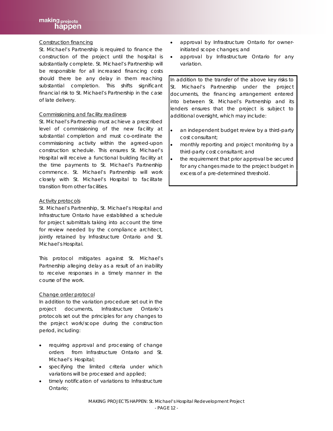#### making projects happen

#### Construction financing

St. Michael's Partnership is required to finance the construction of the project until the hospital is substantially complete. St. Michael's Partnership will be responsible for all increased financing costs should there be any delay in them reaching substantial completion. This shifts significant financial risk to St. Michael's Partnership in the case of late delivery.

#### Commissioning and facility readiness

St. Michael's Partnership must achieve a prescribed level of commissioning of the new facility at substantial completion and must co-ordinate the commissioning activity within the agreed-upon construction schedule. This ensures St. Michael's Hospital will receive a functional building facility at the time payments to St. Michael's Partnership commence. St. Michael's Partnership will work closely with St. Michael's Hospital to facilitate transition from other facilities.

#### Activity protocols

St. Michael's Partnership, St. Michael's Hospital and Infrastructure Ontario have established a schedule for project submittals taking into account the time for review needed by the compliance architect, jointly retained by Infrastructure Ontario and St. Michael's Hospital.

This protocol mitigates against St. Michael's Partnership alleging delay as a result of an inability to receive responses in a timely manner in the course of the work.

#### Change order protocol

In addition to the variation procedure set out in the project documents, Infrastructure Ontario's protocols set out the principles for any changes to the project work/scope during the construction period, including:

- requiring approval and processing of change orders from Infrastructure Ontario and St. Michael's Hospital;
- specifying the limited criteria under which variations will be processed and applied;
- timely notification of variations to Infrastructure Ontario;
- approval by Infrastructure Ontario for ownerinitiated scope changes; and
- approval by Infrastructure Ontario for any variation.

In addition to the transfer of the above key risks to St. Michael's Partnership under the project documents, the financing arrangement entered into between St. Michael's Partnership and its lenders ensures that the project is subject to additional oversight, which may include:

- an independent budget review by a third-party cost consultant;
- monthly reporting and project monitoring by a third-party cost consultant; and
- the requirement that prior approval be secured for any changes made to the project budget in excess of a pre-determined threshold.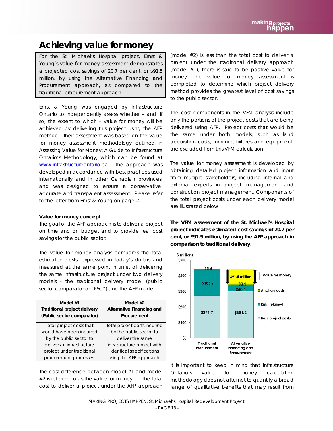# <span id="page-12-0"></span>**Achieving value for money**

For the St. Michael's Hospital project, Ernst & Young's value for money assessment demonstrates a projected cost savings of 20.7 per cent, or \$91.5 million, by using the Alternative Financing and Procurement approach, as compared to the traditional procurement approach.

Ernst & Young was engaged by Infrastructure Ontario to independently assess whether – and, if so, the extent to which – value for money will be achieved by delivering this project using the AFP method. Their assessment was based on the value for money assessment methodology outlined in *Assessing Value for Money: A Guide to Infrastructure Ontario's Methodology*, which can be found at [www.infrastructureontario.ca.](http://www.infrastructureontario.ca/) The approach was developed in accordance with best practices used internationally and in other Canadian provinces, and was designed to ensure a conservative, accurate and transparent assessment. Please refer to the letter from Ernst & Young on page 2.

#### *Value for money concept*

The goal of the AFP approach is to deliver a project on time and on budget and to provide real cost savings for the public sector.

The value for money analysis compares the total estimated costs, expressed in today's dollars and measured at the same point in time, of delivering the same infrastructure project under two delivery models - the traditional delivery model (public sector comparator or "PSC") and the AFP model.

| Model #1<br>Traditional project delivery<br>(Public sector comparator) | Model $#2$<br>Alternative Financing and<br>Procurement |
|------------------------------------------------------------------------|--------------------------------------------------------|
| Total project costs that                                               | Total project costs incurred                           |
| would have been incurred                                               | by the public sector to                                |
| by the public sector to                                                | deliver the same                                       |
| deliver an infrastructure                                              | infrastructure project with                            |
| project under traditional                                              | identical specifications                               |
| procurement processes.                                                 | using the AFP approach.                                |

The cost difference between model #1 and model #2 is referred to as the value for money. If the total cost to deliver a project under the AFP approach (model #2) is less than the total cost to deliver a project under the traditional delivery approach (model #1), there is said to be positive value for money. The value for money assessment is completed to determine which project delivery method provides the greatest level of cost savings to the public sector.

The cost components in the VFM analysis include only the portions of the project costs that are being delivered using AFP. Project costs that would be the same under both models, such as land acquisition costs, furniture, fixtures and equipment, are excluded from this VFM calculation.

The value for money assessment is developed by obtaining detailed project information and input from multiple stakeholders, including internal and external experts in project management and construction project management. Components of the total project costs under each delivery model are illustrated below:

**The VFM assessment of the St. Michael's Hospital project indicates estimated cost savings of 20.7 per cent, or \$91.5 million, by using the AFP approach in comparison to traditional delivery.**



It is important to keep in mind that Infrastructure Ontario's value for money calculation methodology does not attempt to quantify a broad range of qualitative benefits that may result from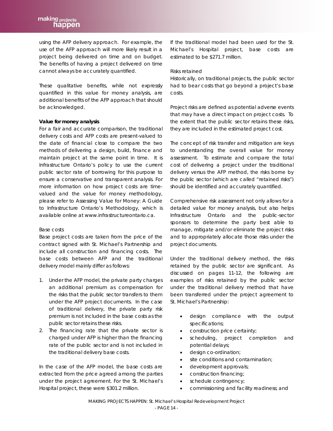using the AFP delivery approach. For example, the use of the AFP approach will more likely result in a project being delivered on time and on budget. The benefits of having a project delivered on time cannot always be accurately quantified.

These qualitative benefits, while not expressly quantified in this value for money analysis, are additional benefits of the AFP approach that should be acknowledged*.* 

#### *Value for money analysis*

For a fair and accurate comparison, the traditional delivery costs and AFP costs are present-valued to the date of financial close to compare the two methods of delivering a design, build, finance and maintain project at the same point in time. It is Infrastructure Ontario's policy to use the current public sector rate of borrowing for this purpose to ensure a conservative and transparent analysis. For more information on how project costs are timevalued and the value for money methodology, please refer to *Assessing Value for Money: A Guide to Infrastructure Ontario's Methodology*, which is available online at www.infrastructureontario.ca.

#### *Base costs*

Base project costs are taken from the price of the contract signed with St. Michael's Partnership and include all construction and financing costs. The base costs between AFP and the traditional delivery model mainly differ as follows:

- 1. Under the AFP model, the private party charges an additional premium as compensation for the risks that the public sector transfers to them under the AFP project documents. In the case of traditional delivery, the private party risk premium is not included in the base costs as the public sector retains these risks.
- 2. The financing rate that the private sector is charged under AFP is higher than the financing rate of the public sector and is not included in the traditional delivery base costs.

In the case of the AFP model, the base costs are extracted from the price agreed among the parties under the project agreement. For the St. Michael's Hospital project, these were \$301.2 million.

If the traditional model had been used for the St. Michael's Hospital project, base costs are estimated to be \$271.7 million.

#### *Risks retained*

Historically, on traditional projects, the public sector had to bear costs that go beyond a project's base costs.

Project risks are defined as potential adverse events that may have a direct impact on project costs. To the extent that the public sector retains these risks, they are included in the estimated project cost.

The concept of risk transfer and mitigation are keys to understanding the overall value for money assessment. To estimate and compare the total cost of delivering a project under the traditional delivery versus the AFP method, the risks borne by the public sector (which are called "retained risks") should be identified and accurately quantified.

Comprehensive risk assessment not only allows for a detailed value for money analysis, but also helps Infrastructure Ontario and the public-sector sponsors to determine the party best able to manage, mitigate and/or eliminate the project risks and to appropriately allocate those risks under the project documents.

Under the traditional delivery method, the risks retained by the public sector are significant. As discussed on pages 11-12, the following are examples of risks retained by the public sector under the traditional delivery method that have been transferred under the project agreement to St. Michael's Partnership:

- design compliance with the output specifications;
- construction price certainty;
- scheduling, project completion and potential delays;
- design co-ordination;
- site conditions and contamination;
- development approvals;
- construction financing;
- schedule contingency;
- commissioning and facility readiness; and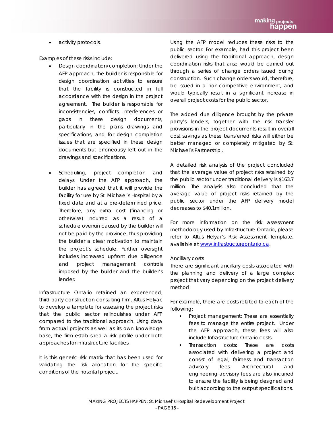activity protocols.

Examples of these risks include:

- *Design coordination/completion:* Under the AFP approach, the builder is responsible for design coordination activities to ensure that the facility is constructed in full accordance with the design in the project agreement. The builder is responsible for inconsistencies, conflicts, interferences or gaps in these design documents, particularly in the plans drawings and specifications; and for design completion issues that are specified in these design documents but erroneously left out in the drawings and specifications.
- *Scheduling, project completion and delays:* Under the AFP approach, the builder has agreed that it will provide the facility for use by St. Michael's Hospital by a fixed date and at a pre-determined price. Therefore, any extra cost (financing or otherwise) incurred as a result of a schedule overrun caused by the builder will not be paid by the province, thus providing the builder a clear motivation to maintain the project's schedule. Further oversight includes increased upfront due diligence and project management controls imposed by the builder and the builder's lender.

Infrastructure Ontario retained an experienced, third-party construction consulting firm, Altus Helyar, to develop a template for assessing the project risks that the public sector relinquishes under AFP compared to the traditional approach. Using data from actual projects as well as its own knowledge base, the firm established a risk profile under both approaches for infrastructure facilities.

It is this generic risk matrix that has been used for validating the risk allocation for the specific conditions of the hospital project.

Using the AFP model reduces these risks to the public sector. For example, had this project been delivered using the traditional approach, design coordination risks that arise would be carried out through a series of change orders issued during construction. Such change orders would, therefore, be issued in a non-competitive environment, and would typically result in a significant increase in overall project costs for the public sector.

The added due diligence brought by the private party's lenders, together with the risk transfer provisions in the project documents result in overall cost savings as these transferred risks will either be better managed or completely mitigated by St. Michael's Partnership .

A detailed risk analysis of the project concluded that the average value of project risks retained by the public sector under traditional delivery is \$163.7 million. The analysis also concluded that the average value of project risks retained by the public sector under the AFP delivery model decreases to \$40.1million.

For more information on the risk assessment methodology used by Infrastructure Ontario, please refer to Altus Helyar's Risk Assessment Template, available at [www.infrastructureontario.ca.](http://www.infrastructureontario.ca/)

#### *Ancillary costs*

There are significant ancillary costs associated with the planning and delivery of a large complex project that vary depending on the project delivery method.

For example, there are costs related to each of the following:

- *Project management:* These are essentially fees to manage the entire project. Under the AFP approach, these fees will also include Infrastructure Ontario costs.
- *Transaction costs:* These are costs associated with delivering a project and consist of legal, fairness and transaction advisory fees. Architectural and engineering advisory fees are also incurred to ensure the facility is being designed and built according to the output specifications.